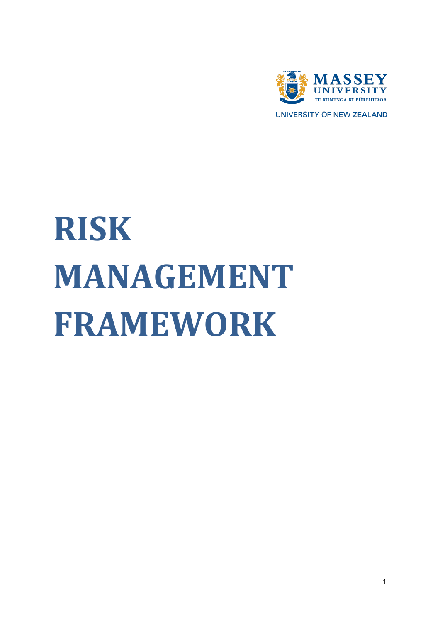

UNIVERSITY OF NEW ZEALAND

# <span id="page-0-0"></span>**RISK MANAGEMENT FRAMEWORK**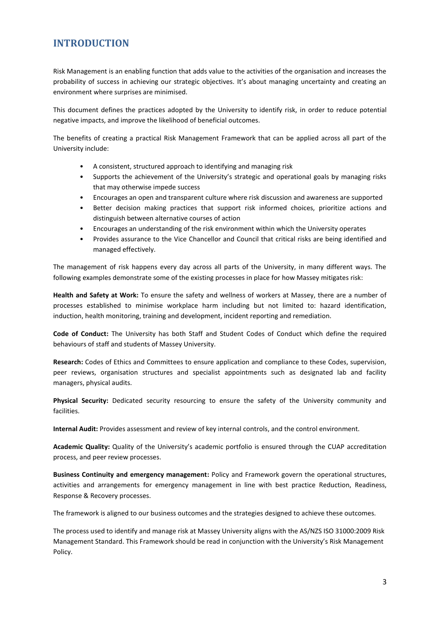#### <span id="page-2-0"></span>**INTRODUCTION**

Risk Management is an enabling function that adds value to the activities of the organisation and increases the probability of success in achieving our strategic objectives. It's about managing uncertainty and creating an environment where surprises are minimised.

This document defines the practices adopted by the University to identify risk, in order to reduce potential negative impacts, and improve the likelihood of beneficial outcomes.

The benefits of creating a practical Risk Management Framework that can be applied across all part of the University include:

- A consistent, structured approach to identifying and managing risk
- Supports the achievement of the University's strategic and operational goals by managing risks that may otherwise impede success
- Encourages an open and transparent culture where risk discussion and awareness are supported
- Better decision making practices that support risk informed choices, prioritize actions and distinguish between alternative courses of action
- Encourages an understanding of the risk environment within which the University operates
- Provides assurance to the Vice Chancellor and Council that critical risks are being identified and managed effectively.

The management of risk happens every day across all parts of the University, in many different ways. The following examples demonstrate some of the existing processes in place for how Massey mitigates risk:

**Health and Safety at Work:** To ensure the safety and wellness of workers at Massey, there are a number of processes established to minimise workplace harm including but not limited to: hazard identification, induction, health monitoring, training and development, incident reporting and remediation.

**Code of Conduct:** The University has both Staff and Student Codes of Conduct which define the required behaviours of staff and students of Massey University.

**Research:** Codes of Ethics and Committees to ensure application and compliance to these Codes, supervision, peer reviews, organisation structures and specialist appointments such as designated lab and facility managers, physical audits.

**Physical Security:** Dedicated security resourcing to ensure the safety of the University community and facilities.

**Internal Audit:** Provides assessment and review of key internal controls, and the control environment.

**Academic Quality:** Quality of the University's academic portfolio is ensured through the CUAP accreditation process, and peer review processes.

**Business Continuity and emergency management:** Policy and Framework govern the operational structures, activities and arrangements for emergency management in line with best practice Reduction, Readiness, Response & Recovery processes.

The framework is aligned to our business outcomes and the strategies designed to achieve these outcomes.

The process used to identify and manage risk at Massey University aligns with the AS/NZS ISO 31000:2009 Risk Management Standard. This Framework should be read in conjunction with the University's Risk Management Policy.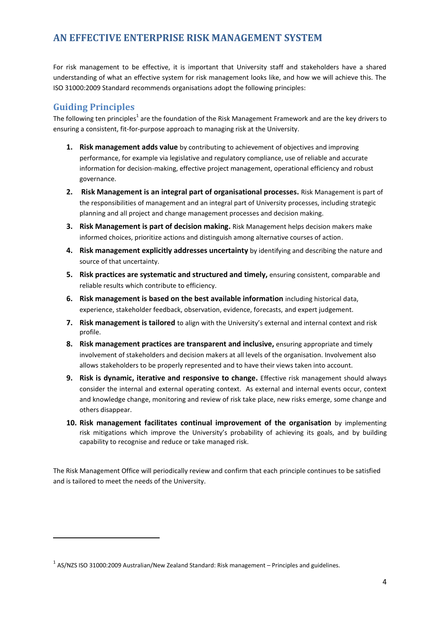#### <span id="page-3-0"></span>**AN EFFECTIVE ENTERPRISE RISK MANAGEMENT SYSTEM**

For risk management to be effective, it is important that University staff and stakeholders have a shared understanding of what an effective system for risk management looks like, and how we will achieve this. The ISO 31000:2009 Standard recommends organisations adopt the following principles:

#### <span id="page-3-1"></span>**Guiding Principles**

**.** 

The following ten principles<sup>1</sup> are the foundation of the Risk Management Framework and are the key drivers to ensuring a consistent, fit-for-purpose approach to managing risk at the University.

- **1. Risk management adds value** by contributing to achievement of objectives and improving performance, for example via legislative and regulatory compliance, use of reliable and accurate information for decision-making, effective project management, operational efficiency and robust governance.
- **2. Risk Management is an integral part of organisational processes.** Risk Management is part of the responsibilities of management and an integral part of University processes, including strategic planning and all project and change management processes and decision making.
- **3. Risk Management is part of decision making.** Risk Management helps decision makers make informed choices, prioritize actions and distinguish among alternative courses of action.
- **4. Risk management explicitly addresses uncertainty** by identifying and describing the nature and source of that uncertainty.
- **5. Risk practices are systematic and structured and timely,** ensuring consistent, comparable and reliable results which contribute to efficiency.
- **6. Risk management is based on the best available information** including historical data, experience, stakeholder feedback, observation, evidence, forecasts, and expert judgement.
- **7. Risk management is tailored** to align with the University's external and internal context and risk profile.
- **8. Risk management practices are transparent and inclusive,** ensuring appropriate and timely involvement of stakeholders and decision makers at all levels of the organisation. Involvement also allows stakeholders to be properly represented and to have their views taken into account.
- **9. Risk is dynamic, iterative and responsive to change.** Effective risk management should always consider the internal and external operating context. As external and internal events occur, context and knowledge change, monitoring and review of risk take place, new risks emerge, some change and others disappear.
- **10. Risk management facilitates continual improvement of the organisation** by implementing risk mitigations which improve the University's probability of achieving its goals, and by building capability to recognise and reduce or take managed risk.

The Risk Management Office will periodically review and confirm that each principle continues to be satisfied and is tailored to meet the needs of the University.

 $^{1}$  AS/NZS ISO 31000:2009 Australian/New Zealand Standard: Risk management – Principles and guidelines.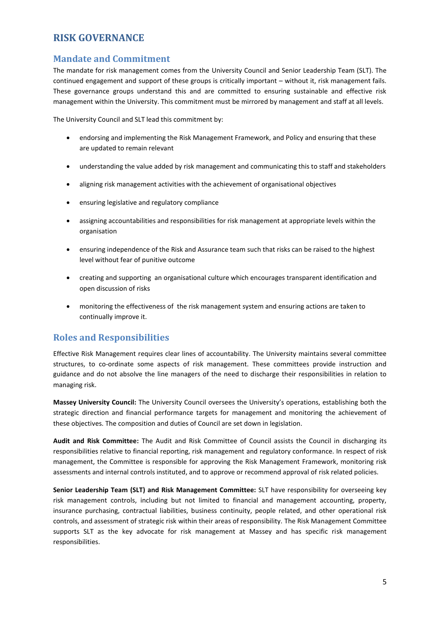#### <span id="page-4-0"></span>**RISK GOVERNANCE**

#### <span id="page-4-1"></span>**Mandate and Commitment**

The mandate for risk management comes from the University Council and Senior Leadership Team (SLT). The continued engagement and support of these groups is critically important – without it, risk management fails. These governance groups understand this and are committed to ensuring sustainable and effective risk management within the University. This commitment must be mirrored by management and staff at all levels.

The University Council and SLT lead this commitment by:

- endorsing and implementing the Risk Management Framework, and Policy and ensuring that these are updated to remain relevant
- understanding the value added by risk management and communicating this to staff and stakeholders
- aligning risk management activities with the achievement of organisational objectives
- ensuring legislative and regulatory compliance
- assigning accountabilities and responsibilities for risk management at appropriate levels within the organisation
- ensuring independence of the Risk and Assurance team such that risks can be raised to the highest level without fear of punitive outcome
- creating and supporting an organisational culture which encourages transparent identification and open discussion of risks
- monitoring the effectiveness of the risk management system and ensuring actions are taken to continually improve it.

#### <span id="page-4-2"></span>**Roles and Responsibilities**

Effective Risk Management requires clear lines of accountability. The University maintains several committee structures, to co-ordinate some aspects of risk management. These committees provide instruction and guidance and do not absolve the line managers of the need to discharge their responsibilities in relation to managing risk.

**Massey University Council:** The University Council oversees the University's operations, establishing both the strategic direction and financial performance targets for management and monitoring the achievement of these objectives. The composition and duties of Council are set down in legislation.

**Audit and Risk Committee:** The Audit and Risk Committee of Council assists the Council in discharging its responsibilities relative to financial reporting, risk management and regulatory conformance. In respect of risk management, the Committee is responsible for approving the Risk Management Framework, monitoring risk assessments and internal controls instituted, and to approve or recommend approval of risk related policies.

**Senior Leadership Team (SLT) and Risk Management Committee:** SLT have responsibility for overseeing key risk management controls, including but not limited to financial and management accounting, property, insurance purchasing, contractual liabilities, business continuity, people related, and other operational risk controls, and assessment of strategic risk within their areas of responsibility. The Risk Management Committee supports SLT as the key advocate for risk management at Massey and has specific risk management responsibilities.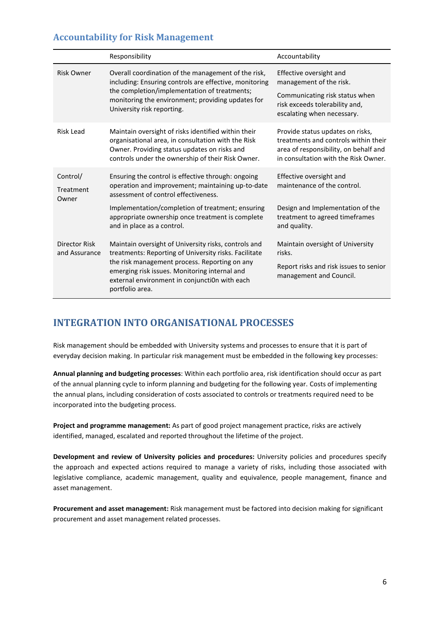#### <span id="page-5-0"></span>**Accountability for Risk Management**

|                                | Responsibility                                                                                                                                                                                                                                                                                                    | Accountability                                                                                                                                            |
|--------------------------------|-------------------------------------------------------------------------------------------------------------------------------------------------------------------------------------------------------------------------------------------------------------------------------------------------------------------|-----------------------------------------------------------------------------------------------------------------------------------------------------------|
| <b>Risk Owner</b>              | Overall coordination of the management of the risk,<br>including: Ensuring controls are effective, monitoring<br>the completion/implementation of treatments;<br>monitoring the environment; providing updates for<br>University risk reporting.                                                                  | Effective oversight and<br>management of the risk.<br>Communicating risk status when<br>risk exceeds tolerability and,<br>escalating when necessary.      |
| <b>Risk Lead</b>               | Maintain oversight of risks identified within their<br>organisational area, in consultation with the Risk<br>Owner. Providing status updates on risks and<br>controls under the ownership of their Risk Owner.                                                                                                    | Provide status updates on risks,<br>treatments and controls within their<br>area of responsibility, on behalf and<br>in consultation with the Risk Owner. |
| Control/<br>Treatment<br>Owner | Ensuring the control is effective through: ongoing<br>operation and improvement; maintaining up-to-date<br>assessment of control effectiveness.<br>Implementation/completion of treatment; ensuring<br>appropriate ownership once treatment is complete                                                           | Effective oversight and<br>maintenance of the control.<br>Design and Implementation of the<br>treatment to agreed timeframes                              |
| Director Risk<br>and Assurance | and in place as a control.<br>Maintain oversight of University risks, controls and<br>treatments: Reporting of University risks. Facilitate<br>the risk management process. Reporting on any<br>emerging risk issues. Monitoring internal and<br>external environment in conjunction with each<br>portfolio area. | and quality.<br>Maintain oversight of University<br>risks.<br>Report risks and risk issues to senior<br>management and Council.                           |

## <span id="page-5-1"></span>**INTEGRATION INTO ORGANISATIONAL PROCESSES**

Risk management should be embedded with University systems and processes to ensure that it is part of everyday decision making. In particular risk management must be embedded in the following key processes:

**Annual planning and budgeting processes**: Within each portfolio area, risk identification should occur as part of the annual planning cycle to inform planning and budgeting for the following year. Costs of implementing the annual plans, including consideration of costs associated to controls or treatments required need to be incorporated into the budgeting process.

**Project and programme management:** As part of good project management practice, risks are actively identified, managed, escalated and reported throughout the lifetime of the project.

**Development and review of University policies and procedures:** University policies and procedures specify the approach and expected actions required to manage a variety of risks, including those associated with legislative compliance, academic management, quality and equivalence, people management, finance and asset management.

**Procurement and asset management:** Risk management must be factored into decision making for significant procurement and asset management related processes.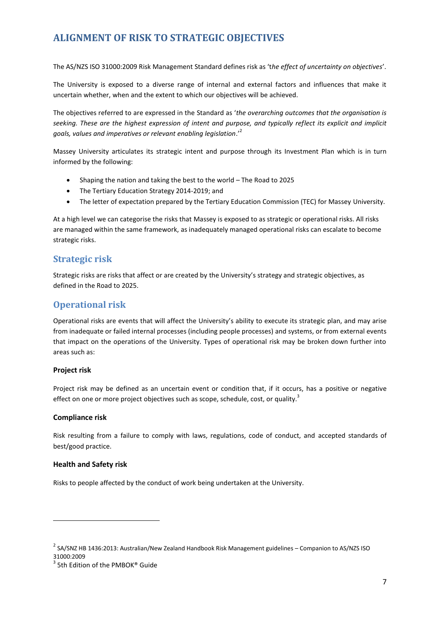## <span id="page-6-0"></span>**ALIGNMENT OF RISK TO STRATEGIC OBJECTIVES**

The AS/NZS ISO 31000:2009 Risk Management Standard defines risk as 't*he effect of uncertainty on objectives*'.

The University is exposed to a diverse range of internal and external factors and influences that make it uncertain whether, when and the extent to which our objectives will be achieved.

The objectives referred to are expressed in the Standard as '*the overarching outcomes that the organisation is seeking. These are the highest expression of intent and purpose, and typically reflect its explicit and implicit goals, values and imperatives or relevant enabling legislation*.'<sup>2</sup>

Massey University articulates its strategic intent and purpose through its Investment Plan which is in turn informed by the following:

- Shaping the nation and taking the best to the world The Road to 2025
- The Tertiary Education Strategy 2014-2019; and
- The letter of expectation prepared by the Tertiary Education Commission (TEC) for Massey University.

At a high level we can categorise the risks that Massey is exposed to as strategic or operational risks. All risks are managed within the same framework, as inadequately managed operational risks can escalate to become strategic risks.

#### <span id="page-6-1"></span>**Strategic risk**

Strategic risks are risks that affect or are created by the University's strategy and strategic objectives, as defined in the Road to 2025.

#### <span id="page-6-2"></span>**Operational risk**

Operational risks are events that will affect the University's ability to execute its strategic plan, and may arise from inadequate or failed internal processes (including people processes) and systems, or from external events that impact on the operations of the University. Types of operational risk may be broken down further into areas such as:

#### **Project risk**

Project risk may be defined as an uncertain event or condition that, if it occurs, has a positive or negative effect on one or more project objectives such as scope, schedule, cost, or quality.<sup>3</sup>

#### **Compliance risk**

Risk resulting from a failure to comply with laws, regulations, code of conduct, and accepted standards of best/good practice.

#### **Health and Safety risk**

**.** 

Risks to people affected by the conduct of work being undertaken at the University.

<sup>&</sup>lt;sup>2</sup> SA/SNZ HB 1436:2013: Australian/New Zealand Handbook Risk Management guidelines – Companion to AS/NZS ISO 31000:2009

<sup>&</sup>lt;sup>3</sup> 5th Edition of the PMBOK® Guide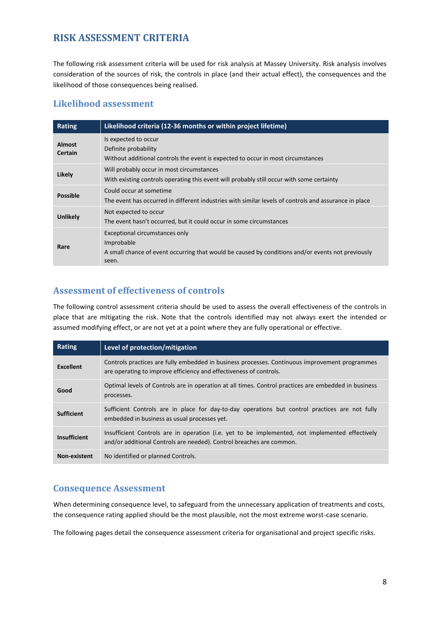#### <span id="page-7-0"></span>**RISK ASSESSMENT CRITERIA**

The following risk assessment criteria will be used for risk analysis at Massey University. Risk analysis involves consideration of the sources of risk, the controls in place (and their actual effect), the consequences and the likelihood of those consequences being realised.

#### <span id="page-7-1"></span>**Likelihood assessment**

| Rating                          | Likelihood criteria (12-36 months or within project lifetime)                                                                                              |
|---------------------------------|------------------------------------------------------------------------------------------------------------------------------------------------------------|
| <b>Almost</b><br><b>Certain</b> | Is expected to occur<br>Definite probability<br>Without additional controls the event is expected to occur in most circumstances                           |
| Likely                          | Will probably occur in most circumstances<br>With existing controls operating this event will probably still occur with some certainty                     |
| <b>Possible</b>                 | Could occur at sometime<br>The event has occurred in different industries with similar levels of controls and assurance in place                           |
| <b>Unlikely</b>                 | Not expected to occur<br>The event hasn't occurred, but it could occur in some circumstances                                                               |
| Rare                            | Exceptional circumstances only<br>Improbable<br>A small chance of event occurring that would be caused by conditions and/or events not previously<br>seen. |

#### <span id="page-7-2"></span>**Assessment of effectiveness of controls**

The following control assessment criteria should be used to assess the overall effectiveness of the controls in place that are mitigating the risk. Note that the controls identified may not always exert the intended or assumed modifying effect, or are not yet at a point where they are fully operational or effective.

| Rating              | Level of protection/mitigation                                                                                                                                          |
|---------------------|-------------------------------------------------------------------------------------------------------------------------------------------------------------------------|
| <b>Excellent</b>    | Controls practices are fully embedded in business processes. Continuous improvement programmes<br>are operating to improve efficiency and effectiveness of controls.    |
| Good                | Optimal levels of Controls are in operation at all times. Control practices are embedded in business<br>processes.                                                      |
| <b>Sufficient</b>   | Sufficient Controls are in place for day-to-day operations but control practices are not fully<br>embedded in business as usual processes yet.                          |
| <b>Insufficient</b> | Insufficient Controls are in operation (i.e. yet to be implemented, not implemented effectively<br>and/or additional Controls are needed). Control breaches are common. |
| <b>Non-existent</b> | No identified or planned Controls.                                                                                                                                      |

#### <span id="page-7-3"></span>**Consequence Assessment**

When determining consequence level, to safeguard from the unnecessary application of treatments and costs, the consequence rating applied should be the most plausible, not the most extreme worst-case scenario.

The following pages detail the consequence assessment criteria for organisational and project specific risks.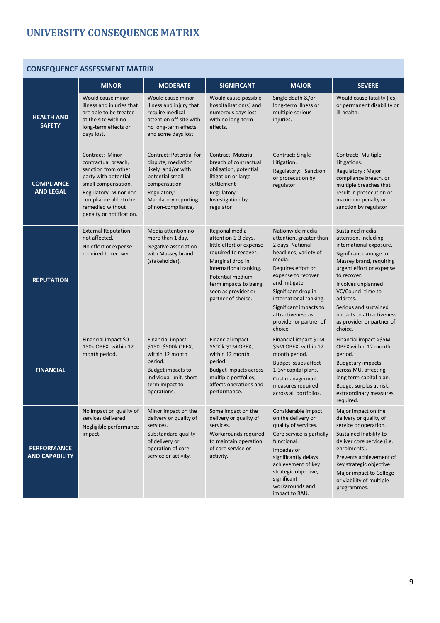# <span id="page-8-0"></span>**UNIVERSITY CONSEQUENCE MATRIX**

# **CONSEQUENCE ASSESSMENT MATRIX**

|                                             |                                                                                                                                                                                                                 |                                                                                                                                                                           |                                                                                                                                                                                                                                   | <b>MAJOR</b>                                                                                                                                                                                                                                                                                        |                                                                                                                                                                                                                                                                                                                         |
|---------------------------------------------|-----------------------------------------------------------------------------------------------------------------------------------------------------------------------------------------------------------------|---------------------------------------------------------------------------------------------------------------------------------------------------------------------------|-----------------------------------------------------------------------------------------------------------------------------------------------------------------------------------------------------------------------------------|-----------------------------------------------------------------------------------------------------------------------------------------------------------------------------------------------------------------------------------------------------------------------------------------------------|-------------------------------------------------------------------------------------------------------------------------------------------------------------------------------------------------------------------------------------------------------------------------------------------------------------------------|
| <b>HEALTH AND</b><br><b>SAFETY</b>          | <b>MINOR</b><br>Would cause minor<br>illness and injuries that<br>are able to be treated<br>at the site with no<br>long-term effects or<br>days lost.                                                           | <b>MODERATE</b><br>Would cause minor<br>illness and injury that<br>require medical<br>attention off-site with<br>no long-term effects<br>and some days lost.              | <b>SIGNIFICANT</b><br>Would cause possible<br>hospitalisation(s) and<br>numerous days lost<br>with no long-term<br>effects.                                                                                                       | Single death &/or<br>long-term illness or<br>multiple serious<br>injuries.                                                                                                                                                                                                                          | <b>SEVERE</b><br>Would cause fatality (ies)<br>or permanent disability or<br>ill-health.                                                                                                                                                                                                                                |
| <b>COMPLIANCE</b><br><b>AND LEGAL</b>       | Contract: Minor<br>contractual breach,<br>sanction from other<br>party with potential<br>small compensation.<br>Regulatory. Minor non-<br>compliance able to be<br>remedied without<br>penalty or notification. | <b>Contract: Potential for</b><br>dispute, mediation<br>likely and/or with<br>potential small<br>compensation<br>Regulatory:<br>Mandatory reporting<br>of non-compliance, | <b>Contract: Material</b><br>breach of contractual<br>obligation, potential<br>litigation or large<br>settlement<br>Regulatory:<br>Investigation by<br>regulator                                                                  | Contract: Single<br>Litigation.<br>Regulatory: Sanction<br>or prosecution by<br>regulator                                                                                                                                                                                                           | Contract: Multiple<br>Litigations.<br>Regulatory: Major<br>compliance breach, or<br>multiple breaches that<br>result in prosecution or<br>maximum penalty or<br>sanction by regulator                                                                                                                                   |
| <b>REPUTATION</b>                           | <b>External Reputation</b><br>not affected.<br>No effort or expense<br>required to recover.                                                                                                                     | Media attention no<br>more than 1 day.<br>Negative association<br>with Massey brand<br>(stakeholder).                                                                     | Regional media<br>attention 1-3 days,<br>little effort or expense<br>required to recover.<br>Marginal drop in<br>international ranking.<br>Potential medium<br>term impacts to being<br>seen as provider or<br>partner of choice. | Nationwide media<br>attention, greater than<br>2 days. National<br>headlines, variety of<br>media.<br>Requires effort or<br>expense to recover<br>and mitigate.<br>Significant drop in<br>international ranking.<br>Significant impacts to<br>attractiveness as<br>provider or partner of<br>choice | Sustained media<br>attention, including<br>international exposure.<br>Significant damage to<br>Massey brand, requiring<br>urgent effort or expense<br>to recover.<br>Involves unplanned<br>VC/Council time to<br>address.<br>Serious and sustained<br>impacts to attractiveness<br>as provider or partner of<br>choice. |
| <b>FINANCIAL</b>                            | Financial impact \$0-<br>150k OPEX, within 12<br>month period.                                                                                                                                                  | Financial impact<br>\$150-\$500k OPEX,<br>within 12 month<br>period.<br>Budget impacts to<br>individual unit, short<br>term impact to<br>operations.                      | Financial impact<br>\$500k-\$1M OPEX,<br>within 12 month<br>period.<br><b>Budget impacts across</b><br>multiple portfolios,<br>affects operations and<br>performance.                                                             | Financial impact \$1M-<br>\$5M OPEX, within 12<br>month period.<br><b>Budget issues affect</b><br>1-3yr capital plans.<br>Cost management<br>measures required<br>across all portfolios.                                                                                                            | Financial impact >\$5M<br>OPEX within 12 month<br>period.<br><b>Budgetary impacts</b><br>across MU, affecting<br>long term capital plan.<br>Budget surplus at risk,<br>extraordinary measures<br>required.                                                                                                              |
| <b>PERFORMANCE</b><br><b>AND CAPABILITY</b> | No impact on quality of<br>services delivered.<br>Negligible performance<br>impact.                                                                                                                             | Minor impact on the<br>delivery or quality of<br>services.<br>Substandard quality<br>of delivery or<br>operation of core<br>service or activity.                          | Some impact on the<br>delivery or quality of<br>services.<br>Workarounds required<br>to maintain operation<br>of core service or<br>activity.                                                                                     | Considerable impact<br>on the delivery or<br>quality of services.<br>Core service is partially<br>functional.<br>Impedes or<br>significantly delays<br>achievement of key<br>strategic objective,<br>significant<br>workarounds and<br>impact to BAU.                                               | Major impact on the<br>delivery or quality of<br>service or operation.<br>Sustained Inability to<br>deliver core service (i.e.<br>enrolments).<br>Prevents achievement of<br>key strategic objective<br>Major impact to College<br>or viability of multiple<br>programmes.                                              |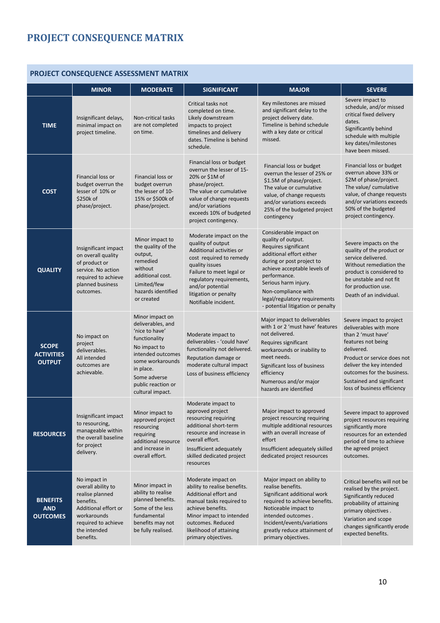# <span id="page-9-0"></span>**PROJECT CONSEQUENCE MATRIX**

# **PROJECT CONSEQUENCE ASSESSMENT MATRIX**

|                                                    | <b>MINOR</b>                                                                                                                                                  | <b>MODERATE</b>                                                                                                                                                                                         | <b>SIGNIFICANT</b>                                                                                                                                                                                                                                | <b>MAJOR</b>                                                                                                                                                                                                                                                                                       | <b>SEVERE</b>                                                                                                                                                                                                                                                     |
|----------------------------------------------------|---------------------------------------------------------------------------------------------------------------------------------------------------------------|---------------------------------------------------------------------------------------------------------------------------------------------------------------------------------------------------------|---------------------------------------------------------------------------------------------------------------------------------------------------------------------------------------------------------------------------------------------------|----------------------------------------------------------------------------------------------------------------------------------------------------------------------------------------------------------------------------------------------------------------------------------------------------|-------------------------------------------------------------------------------------------------------------------------------------------------------------------------------------------------------------------------------------------------------------------|
| <b>TIME</b>                                        | Insignificant delays,<br>minimal impact on<br>project timeline.                                                                                               | Non-critical tasks<br>are not completed<br>on time.                                                                                                                                                     | Critical tasks not<br>completed on time.<br>Likely downstream<br>impacts to project<br>timelines and delivery<br>dates. Timeline is behind<br>schedule.                                                                                           | Key milestones are missed<br>and significant delay to the<br>project delivery date.<br>Timeline is behind schedule<br>with a key date or critical<br>missed.                                                                                                                                       | Severe impact to<br>schedule, and/or missed<br>critical fixed delivery<br>dates.<br>Significantly behind<br>schedule with multiple<br>key dates/milestones<br>have been missed.                                                                                   |
| <b>COST</b>                                        | Financial loss or<br>budget overrun the<br>lesser of 10% or<br>\$250k of<br>phase/project.                                                                    | Financial loss or<br>budget overrun<br>the lesser of 10-<br>15% or \$500k of<br>phase/project.                                                                                                          | Financial loss or budget<br>overrun the lesser of 15-<br>20% or \$1M of<br>phase/project.<br>The value or cumulative<br>value of change requests<br>and/or variations<br>exceeds 10% of budgeted<br>project contingency.                          | Financial loss or budget<br>overrun the lesser of 25% or<br>\$1.5M of phase/project.<br>The value or cumulative<br>value, of change requests<br>and/or variations exceeds<br>25% of the budgeted project<br>contingency                                                                            | Financial loss or budget<br>overrun above 33% or<br>\$2M of phase/project.<br>The value/ cumulative<br>value, of change requests<br>and/or variations exceeds<br>50% of the budgeted<br>project contingency.                                                      |
| <b>QUALITY</b>                                     | Insignificant impact<br>on overall quality<br>of product or<br>service. No action<br>required to achieve<br>planned business<br>outcomes.                     | Minor impact to<br>the quality of the<br>output,<br>remedied<br>without<br>additional cost.<br>Limited/few<br>hazards identified<br>or created                                                          | Moderate impact on the<br>quality of output<br>Additional activities or<br>cost required to remedy<br>quality issues<br>Failure to meet legal or<br>regulatory requirements,<br>and/or potential<br>litigation or penalty<br>Notifiable incident. | Considerable impact on<br>quality of output.<br>Requires significant<br>additional effort either<br>during or post project to<br>achieve acceptable levels of<br>performance.<br>Serious harm injury.<br>Non-compliance with<br>legal/regulatory requirements<br>- potential litigation or penalty | Severe impacts on the<br>quality of the product or<br>service delivered.<br>Without remediation the<br>product is considered to<br>be unstable and not fit<br>for production use.<br>Death of an individual.                                                      |
| <b>SCOPE</b><br><b>ACTIVITIES</b><br><b>OUTPUT</b> | No impact on<br>project<br>deliverables.<br>All intended<br>outcomes are<br>achievable.                                                                       | Minor impact on<br>deliverables, and<br>'nice to have'<br>functionality<br>No impact to<br>intended outcomes<br>some workarounds<br>in place.<br>Some adverse<br>public reaction or<br>cultural impact. | Moderate impact to<br>deliverables - 'could have'<br>functionality not delivered.<br>Reputation damage or<br>moderate cultural impact<br>Loss of business efficiency                                                                              | Major impact to deliverables<br>with 1 or 2 'must have' features<br>not delivered.<br>Requires significant<br>workarounds or inability to<br>meet needs.<br>Significant loss of business<br>efficiency<br>Numerous and/or major<br>hazards are identified                                          | Severe impact to project<br>deliverables with more<br>than 2 'must have'<br>features not being<br>delivered.<br>Product or service does not<br>deliver the key intended<br>outcomes for the business.<br>Sustained and significant<br>loss of business efficiency |
| <b>RESOURCES</b>                                   | Insignificant impact<br>to resourcing,<br>manageable within<br>the overall baseline<br>for project<br>delivery.                                               | Minor impact to<br>approved project<br>resourcing<br>requiring<br>additional resource<br>and increase in<br>overall effort.                                                                             | Moderate impact to<br>approved project<br>resourcing requiring<br>additional short-term<br>resource and increase in<br>overall effort.<br>Insufficient adequately<br>skilled dedicated project<br>resources                                       | Major impact to approved<br>project resourcing requiring<br>multiple additional resources<br>with an overall increase of<br>effort<br>Insufficient adequately skilled<br>dedicated project resources                                                                                               | Severe impact to approved<br>project resources requiring<br>significantly more<br>resources for an extended<br>period of time to achieve<br>the agreed project<br>outcomes.                                                                                       |
| <b>BENEFITS</b><br>AND<br><b>OUTCOMES</b>          | No impact in<br>overall ability to<br>realise planned<br>benefits.<br>Additional effort or<br>workarounds<br>required to achieve<br>the intended<br>benefits. | Minor impact in<br>ability to realise<br>planned benefits.<br>Some of the less<br>fundamental<br>benefits may not<br>be fully realised.                                                                 | Moderate impact on<br>ability to realise benefits.<br>Additional effort and<br>manual tasks required to<br>achieve benefits.<br>Minor impact to intended<br>outcomes. Reduced<br>likelihood of attaining<br>primary objectives.                   | Major impact on ability to<br>realise benefits.<br>Significant additional work<br>required to achieve benefits.<br>Noticeable impact to<br>intended outcomes.<br>Incident/events/variations<br>greatly reduce attainment of<br>primary objectives.                                                 | Critical benefits will not be<br>realised by the project.<br>Significantly reduced<br>probability of attaining<br>primary objectives.<br>Variation and scope<br>changes significantly erode<br>expected benefits.                                                 |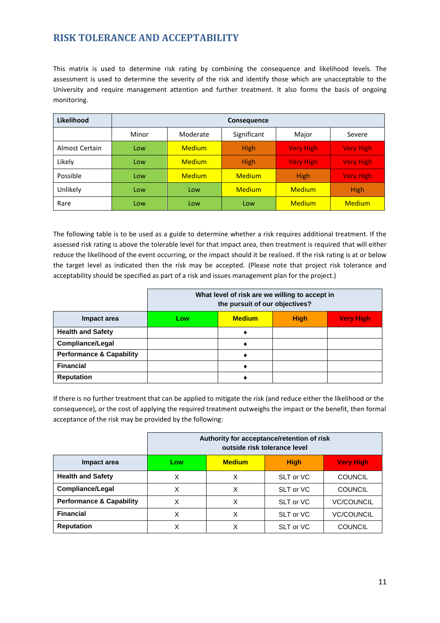## <span id="page-10-0"></span>**RISK TOLERANCE AND ACCEPTABILITY**

This matrix is used to determine risk rating by combining the consequence and likelihood levels. The assessment is used to determine the severity of the risk and identify those which are unacceptable to the University and require management attention and further treatment. It also forms the basis of ongoing monitoring.

| Likelihood     | Consequence |               |               |                  |                  |
|----------------|-------------|---------------|---------------|------------------|------------------|
|                | Minor       | Moderate      | Significant   | Major            | Severe           |
| Almost Certain | Low         | <b>Medium</b> | <b>High</b>   | <b>Very High</b> | <b>Very High</b> |
| Likely         | Low         | <b>Medium</b> | <b>High</b>   | <b>Very High</b> | <b>Very High</b> |
| Possible       | Low         | <b>Medium</b> | <b>Medium</b> | <b>High</b>      | <b>Very High</b> |
| Unlikely       | Low         | Low           | <b>Medium</b> | <b>Medium</b>    | <b>High</b>      |
| Rare           | Low         | Low           | Low           | <b>Medium</b>    | <b>Medium</b>    |

The following table is to be used as a guide to determine whether a risk requires additional treatment. If the assessed risk rating is above the tolerable level for that impact area, then treatment is required that will either reduce the likelihood of the event occurring, or the impact should it be realised. If the risk rating is at or below the target level as indicated then the risk may be accepted. (Please note that project risk tolerance and acceptability should be specified as part of a risk and issues management plan for the project.)

|                                     | What level of risk are we willing to accept in<br>the pursuit of our objectives? |  |  |  |
|-------------------------------------|----------------------------------------------------------------------------------|--|--|--|
| Impact area                         | <b>Medium</b><br><b>High</b><br><b>Very High</b><br>Low                          |  |  |  |
| <b>Health and Safety</b>            |                                                                                  |  |  |  |
| <b>Compliance/Legal</b>             |                                                                                  |  |  |  |
| <b>Performance &amp; Capability</b> |                                                                                  |  |  |  |
| <b>Financial</b>                    |                                                                                  |  |  |  |
| <b>Reputation</b>                   |                                                                                  |  |  |  |

If there is no further treatment that can be applied to mitigate the risk (and reduce either the likelihood or the consequence), or the cost of applying the required treatment outweighs the impact or the benefit, then formal acceptance of the risk may be provided by the following:

|                                     | Authority for acceptance/retention of risk<br>outside risk tolerance level |   |           |                   |
|-------------------------------------|----------------------------------------------------------------------------|---|-----------|-------------------|
| Impact area                         | <b>Medium</b><br><b>High</b><br><b>Very High</b><br>Low                    |   |           |                   |
| <b>Health and Safety</b>            | X                                                                          | x | SLT or VC | <b>COUNCIL</b>    |
| Compliance/Legal                    | X                                                                          | x | SLT or VC | <b>COUNCIL</b>    |
| <b>Performance &amp; Capability</b> | X                                                                          | x | SLT or VC | <b>VC/COUNCIL</b> |
| <b>Financial</b>                    | X                                                                          | x | SLT or VC | <b>VC/COUNCIL</b> |
| <b>Reputation</b>                   | X                                                                          |   | SLT or VC | <b>COUNCIL</b>    |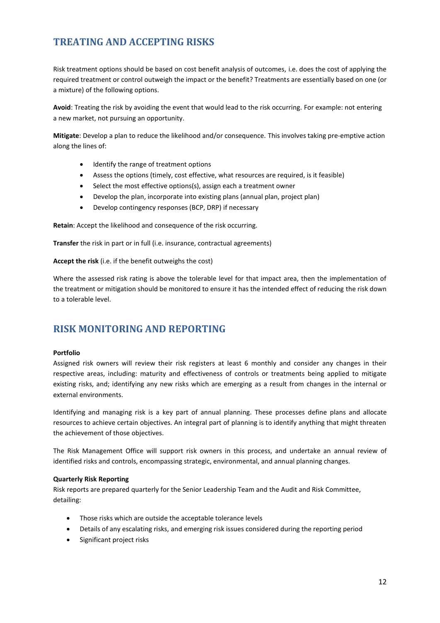# <span id="page-11-0"></span>**TREATING AND ACCEPTING RISKS**

Risk treatment options should be based on cost benefit analysis of outcomes, i.e. does the cost of applying the required treatment or control outweigh the impact or the benefit? Treatments are essentially based on one (or a mixture) of the following options.

**Avoid**: Treating the risk by avoiding the event that would lead to the risk occurring. For example: not entering a new market, not pursuing an opportunity.

**Mitigate**: Develop a plan to reduce the likelihood and/or consequence. This involves taking pre-emptive action along the lines of:

- Identify the range of treatment options
- Assess the options (timely, cost effective, what resources are required, is it feasible)
- Select the most effective options(s), assign each a treatment owner
- Develop the plan, incorporate into existing plans (annual plan, project plan)
- Develop contingency responses (BCP, DRP) if necessary

**Retain**: Accept the likelihood and consequence of the risk occurring.

**Transfer** the risk in part or in full (i.e. insurance, contractual agreements)

**Accept the risk** (i.e. if the benefit outweighs the cost)

Where the assessed risk rating is above the tolerable level for that impact area, then the implementation of the treatment or mitigation should be monitored to ensure it has the intended effect of reducing the risk down to a tolerable level.

#### <span id="page-11-1"></span>**RISK MONITORING AND REPORTING**

#### **Portfolio**

Assigned risk owners will review their risk registers at least 6 monthly and consider any changes in their respective areas, including: maturity and effectiveness of controls or treatments being applied to mitigate existing risks, and; identifying any new risks which are emerging as a result from changes in the internal or external environments.

Identifying and managing risk is a key part of annual planning. These processes define plans and allocate resources to achieve certain objectives. An integral part of planning is to identify anything that might threaten the achievement of those objectives.

The Risk Management Office will support risk owners in this process, and undertake an annual review of identified risks and controls, encompassing strategic, environmental, and annual planning changes.

#### **Quarterly Risk Reporting**

Risk reports are prepared quarterly for the Senior Leadership Team and the Audit and Risk Committee, detailing:

- Those risks which are outside the acceptable tolerance levels
- Details of any escalating risks, and emerging risk issues considered during the reporting period
- Significant project risks